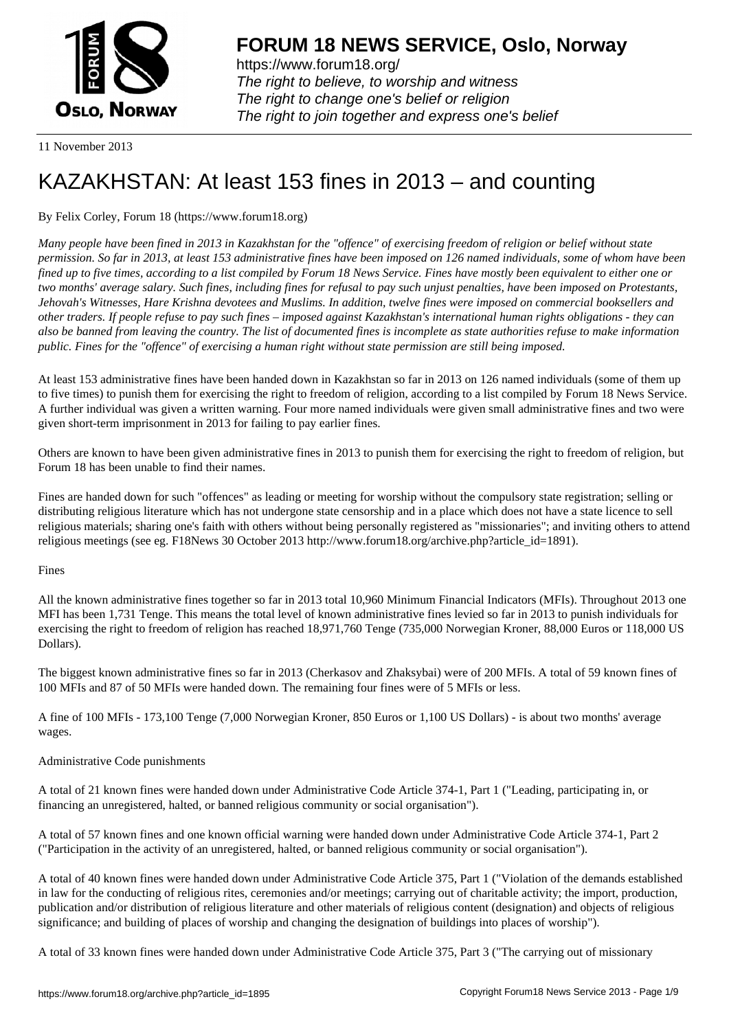

https://www.forum18.org/ The right to believe, to worship and witness The right to change one's belief or religion [The right to join together a](https://www.forum18.org/)nd express one's belief

11 November 2013

# [KAZAKHSTAN:](https://www.forum18.org) At least 153 fines in 2013 – and counting

## By Felix Corley, Forum 18 (https://www.forum18.org)

*Many people have been fined in 2013 in Kazakhstan for the "offence" of exercising freedom of religion or belief without state permission. So far in 2013, at least 153 administrative fines have been imposed on 126 named individuals, some of whom have been fined up to five times, according to a list compiled by Forum 18 News Service. Fines have mostly been equivalent to either one or two months' average salary. Such fines, including fines for refusal to pay such unjust penalties, have been imposed on Protestants, Jehovah's Witnesses, Hare Krishna devotees and Muslims. In addition, twelve fines were imposed on commercial booksellers and other traders. If people refuse to pay such fines – imposed against Kazakhstan's international human rights obligations - they can also be banned from leaving the country. The list of documented fines is incomplete as state authorities refuse to make information public. Fines for the "offence" of exercising a human right without state permission are still being imposed.*

At least 153 administrative fines have been handed down in Kazakhstan so far in 2013 on 126 named individuals (some of them up to five times) to punish them for exercising the right to freedom of religion, according to a list compiled by Forum 18 News Service. A further individual was given a written warning. Four more named individuals were given small administrative fines and two were given short-term imprisonment in 2013 for failing to pay earlier fines.

Others are known to have been given administrative fines in 2013 to punish them for exercising the right to freedom of religion, but Forum 18 has been unable to find their names.

Fines are handed down for such "offences" as leading or meeting for worship without the compulsory state registration; selling or distributing religious literature which has not undergone state censorship and in a place which does not have a state licence to sell religious materials; sharing one's faith with others without being personally registered as "missionaries"; and inviting others to attend religious meetings (see eg. F18News 30 October 2013 http://www.forum18.org/archive.php?article\_id=1891).

### Fines

All the known administrative fines together so far in 2013 total 10,960 Minimum Financial Indicators (MFIs). Throughout 2013 one MFI has been 1,731 Tenge. This means the total level of known administrative fines levied so far in 2013 to punish individuals for exercising the right to freedom of religion has reached 18,971,760 Tenge (735,000 Norwegian Kroner, 88,000 Euros or 118,000 US Dollars).

The biggest known administrative fines so far in 2013 (Cherkasov and Zhaksybai) were of 200 MFIs. A total of 59 known fines of 100 MFIs and 87 of 50 MFIs were handed down. The remaining four fines were of 5 MFIs or less.

A fine of 100 MFIs - 173,100 Tenge (7,000 Norwegian Kroner, 850 Euros or 1,100 US Dollars) - is about two months' average wages.

### Administrative Code punishments

A total of 21 known fines were handed down under Administrative Code Article 374-1, Part 1 ("Leading, participating in, or financing an unregistered, halted, or banned religious community or social organisation").

A total of 57 known fines and one known official warning were handed down under Administrative Code Article 374-1, Part 2 ("Participation in the activity of an unregistered, halted, or banned religious community or social organisation").

A total of 40 known fines were handed down under Administrative Code Article 375, Part 1 ("Violation of the demands established in law for the conducting of religious rites, ceremonies and/or meetings; carrying out of charitable activity; the import, production, publication and/or distribution of religious literature and other materials of religious content (designation) and objects of religious significance; and building of places of worship and changing the designation of buildings into places of worship").

A total of 33 known fines were handed down under Administrative Code Article 375, Part 3 ("The carrying out of missionary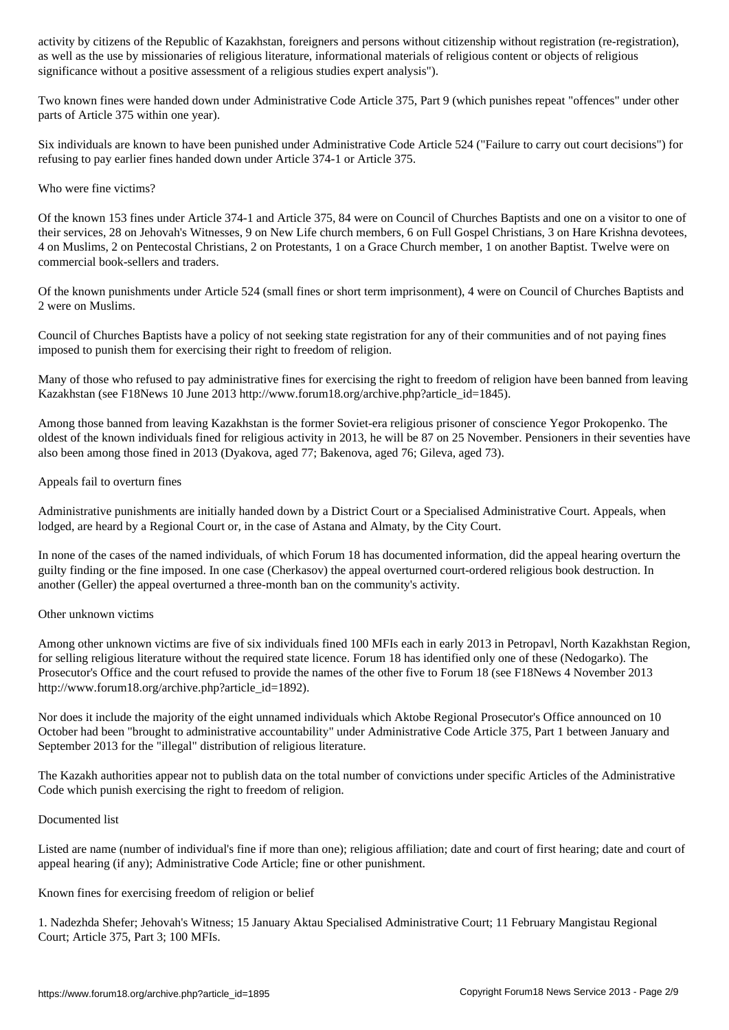as well as the use by missionaries of religious literature, informational materials of religious content or objects of religious significance without a positive assessment of a religious studies expert analysis").

Two known fines were handed down under Administrative Code Article 375, Part 9 (which punishes repeat "offences" under other parts of Article 375 within one year).

Six individuals are known to have been punished under Administrative Code Article 524 ("Failure to carry out court decisions") for refusing to pay earlier fines handed down under Article 374-1 or Article 375.

Who were fine victims?

Of the known 153 fines under Article 374-1 and Article 375, 84 were on Council of Churches Baptists and one on a visitor to one of their services, 28 on Jehovah's Witnesses, 9 on New Life church members, 6 on Full Gospel Christians, 3 on Hare Krishna devotees, 4 on Muslims, 2 on Pentecostal Christians, 2 on Protestants, 1 on a Grace Church member, 1 on another Baptist. Twelve were on commercial book-sellers and traders.

Of the known punishments under Article 524 (small fines or short term imprisonment), 4 were on Council of Churches Baptists and 2 were on Muslims.

Council of Churches Baptists have a policy of not seeking state registration for any of their communities and of not paying fines imposed to punish them for exercising their right to freedom of religion.

Many of those who refused to pay administrative fines for exercising the right to freedom of religion have been banned from leaving Kazakhstan (see F18News 10 June 2013 http://www.forum18.org/archive.php?article\_id=1845).

Among those banned from leaving Kazakhstan is the former Soviet-era religious prisoner of conscience Yegor Prokopenko. The oldest of the known individuals fined for religious activity in 2013, he will be 87 on 25 November. Pensioners in their seventies have also been among those fined in 2013 (Dyakova, aged 77; Bakenova, aged 76; Gileva, aged 73).

Appeals fail to overturn fines

Administrative punishments are initially handed down by a District Court or a Specialised Administrative Court. Appeals, when lodged, are heard by a Regional Court or, in the case of Astana and Almaty, by the City Court.

In none of the cases of the named individuals, of which Forum 18 has documented information, did the appeal hearing overturn the guilty finding or the fine imposed. In one case (Cherkasov) the appeal overturned court-ordered religious book destruction. In another (Geller) the appeal overturned a three-month ban on the community's activity.

### Other unknown victims

Among other unknown victims are five of six individuals fined 100 MFIs each in early 2013 in Petropavl, North Kazakhstan Region, for selling religious literature without the required state licence. Forum 18 has identified only one of these (Nedogarko). The Prosecutor's Office and the court refused to provide the names of the other five to Forum 18 (see F18News 4 November 2013 http://www.forum18.org/archive.php?article\_id=1892).

Nor does it include the majority of the eight unnamed individuals which Aktobe Regional Prosecutor's Office announced on 10 October had been "brought to administrative accountability" under Administrative Code Article 375, Part 1 between January and September 2013 for the "illegal" distribution of religious literature.

The Kazakh authorities appear not to publish data on the total number of convictions under specific Articles of the Administrative Code which punish exercising the right to freedom of religion.

### Documented list

Listed are name (number of individual's fine if more than one); religious affiliation; date and court of first hearing; date and court of appeal hearing (if any); Administrative Code Article; fine or other punishment.

Known fines for exercising freedom of religion or belief

1. Nadezhda Shefer; Jehovah's Witness; 15 January Aktau Specialised Administrative Court; 11 February Mangistau Regional Court; Article 375, Part 3; 100 MFIs.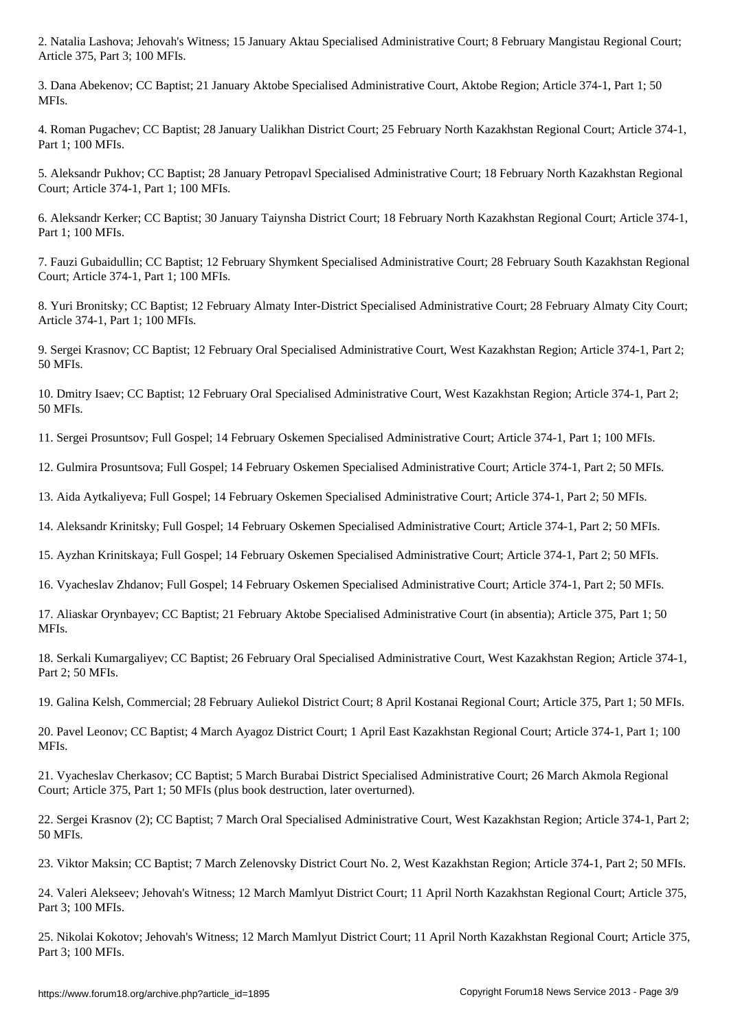3. Dana Abekenov; CC Baptist; 21 January Aktobe Specialised Administrative Court, Aktobe Region; Article 374-1, Part 1; 50 MFIs.

4. Roman Pugachev; CC Baptist; 28 January Ualikhan District Court; 25 February North Kazakhstan Regional Court; Article 374-1, Part 1; 100 MFIs.

5. Aleksandr Pukhov; CC Baptist; 28 January Petropavl Specialised Administrative Court; 18 February North Kazakhstan Regional Court; Article 374-1, Part 1; 100 MFIs.

6. Aleksandr Kerker; CC Baptist; 30 January Taiynsha District Court; 18 February North Kazakhstan Regional Court; Article 374-1, Part 1; 100 MFIs.

7. Fauzi Gubaidullin; CC Baptist; 12 February Shymkent Specialised Administrative Court; 28 February South Kazakhstan Regional Court; Article 374-1, Part 1; 100 MFIs.

8. Yuri Bronitsky; CC Baptist; 12 February Almaty Inter-District Specialised Administrative Court; 28 February Almaty City Court; Article 374-1, Part 1; 100 MFIs.

9. Sergei Krasnov; CC Baptist; 12 February Oral Specialised Administrative Court, West Kazakhstan Region; Article 374-1, Part 2; 50 MFIs.

10. Dmitry Isaev; CC Baptist; 12 February Oral Specialised Administrative Court, West Kazakhstan Region; Article 374-1, Part 2; 50 MFIs.

11. Sergei Prosuntsov; Full Gospel; 14 February Oskemen Specialised Administrative Court; Article 374-1, Part 1; 100 MFIs.

12. Gulmira Prosuntsova; Full Gospel; 14 February Oskemen Specialised Administrative Court; Article 374-1, Part 2; 50 MFIs.

13. Aida Aytkaliyeva; Full Gospel; 14 February Oskemen Specialised Administrative Court; Article 374-1, Part 2; 50 MFIs.

14. Aleksandr Krinitsky; Full Gospel; 14 February Oskemen Specialised Administrative Court; Article 374-1, Part 2; 50 MFIs.

15. Ayzhan Krinitskaya; Full Gospel; 14 February Oskemen Specialised Administrative Court; Article 374-1, Part 2; 50 MFIs.

16. Vyacheslav Zhdanov; Full Gospel; 14 February Oskemen Specialised Administrative Court; Article 374-1, Part 2; 50 MFIs.

17. Aliaskar Orynbayev; CC Baptist; 21 February Aktobe Specialised Administrative Court (in absentia); Article 375, Part 1; 50 MFIs.

18. Serkali Kumargaliyev; CC Baptist; 26 February Oral Specialised Administrative Court, West Kazakhstan Region; Article 374-1, Part 2; 50 MFIs.

19. Galina Kelsh, Commercial; 28 February Auliekol District Court; 8 April Kostanai Regional Court; Article 375, Part 1; 50 MFIs.

20. Pavel Leonov; CC Baptist; 4 March Ayagoz District Court; 1 April East Kazakhstan Regional Court; Article 374-1, Part 1; 100 MFIs.

21. Vyacheslav Cherkasov; CC Baptist; 5 March Burabai District Specialised Administrative Court; 26 March Akmola Regional Court; Article 375, Part 1; 50 MFIs (plus book destruction, later overturned).

22. Sergei Krasnov (2); CC Baptist; 7 March Oral Specialised Administrative Court, West Kazakhstan Region; Article 374-1, Part 2; 50 MFIs.

23. Viktor Maksin; CC Baptist; 7 March Zelenovsky District Court No. 2, West Kazakhstan Region; Article 374-1, Part 2; 50 MFIs.

24. Valeri Alekseev; Jehovah's Witness; 12 March Mamlyut District Court; 11 April North Kazakhstan Regional Court; Article 375, Part 3; 100 MFIs.

25. Nikolai Kokotov; Jehovah's Witness; 12 March Mamlyut District Court; 11 April North Kazakhstan Regional Court; Article 375, Part 3; 100 MFIs.

 $\mathcal{A}$  are 375, Part 3; 100 MFIs. 100 MFIs. 100 MFIs. 100 MFIs. 100 MFIs. 100 MFIs. 100 MFIs. 100 MFIs. 100 MFIs. 100 MFIs. 100 MFIs. 100 MFIs. 100 MFIs. 100 MFIs. 100 MFIs. 100 MFIs. 100 MFIs. 100 MFIs. 100 MFIs. 100 M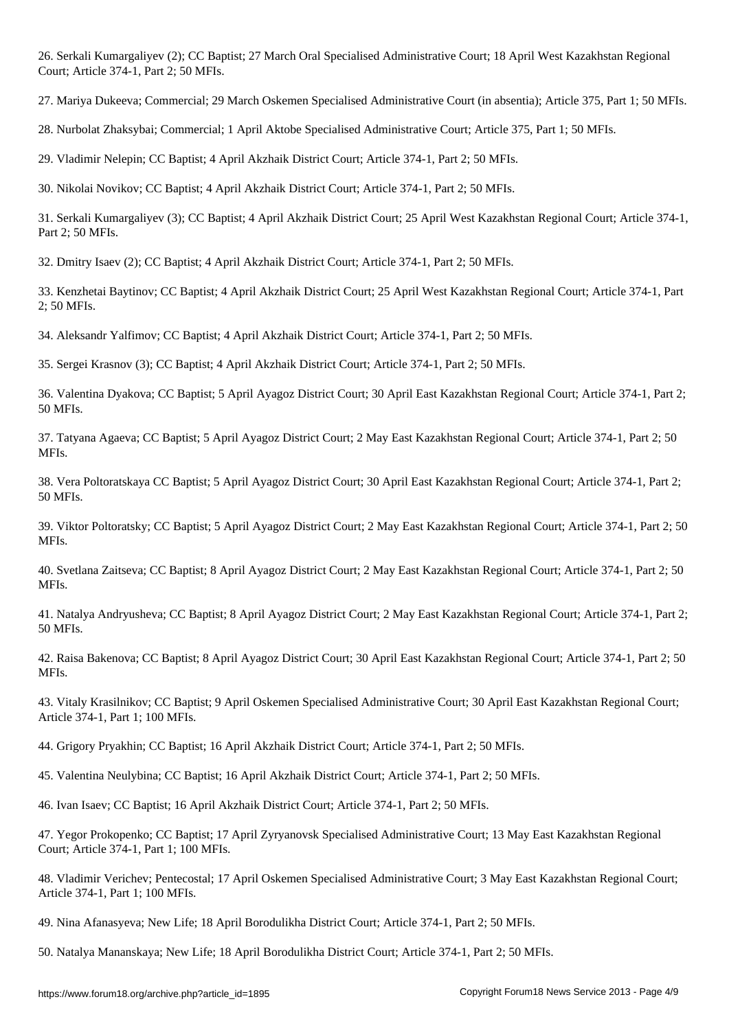26. Serkali Kumargaliyev (2); CC Baptist; 27 March Oral Specialised Administrative Court; 18 April West Kazakhstan Regional Court; Article 374-1, Part 2; 50 MFIs.

27. Mariya Dukeeva; Commercial; 29 March Oskemen Specialised Administrative Court (in absentia); Article 375, Part 1; 50 MFIs.

28. Nurbolat Zhaksybai; Commercial; 1 April Aktobe Specialised Administrative Court; Article 375, Part 1; 50 MFIs.

29. Vladimir Nelepin; CC Baptist; 4 April Akzhaik District Court; Article 374-1, Part 2; 50 MFIs.

30. Nikolai Novikov; CC Baptist; 4 April Akzhaik District Court; Article 374-1, Part 2; 50 MFIs.

31. Serkali Kumargaliyev (3); CC Baptist; 4 April Akzhaik District Court; 25 April West Kazakhstan Regional Court; Article 374-1, Part 2; 50 MFIs.

32. Dmitry Isaev (2); CC Baptist; 4 April Akzhaik District Court; Article 374-1, Part 2; 50 MFIs.

33. Kenzhetai Baytinov; CC Baptist; 4 April Akzhaik District Court; 25 April West Kazakhstan Regional Court; Article 374-1, Part 2; 50 MFIs.

34. Aleksandr Yalfimov; CC Baptist; 4 April Akzhaik District Court; Article 374-1, Part 2; 50 MFIs.

35. Sergei Krasnov (3); CC Baptist; 4 April Akzhaik District Court; Article 374-1, Part 2; 50 MFIs.

36. Valentina Dyakova; CC Baptist; 5 April Ayagoz District Court; 30 April East Kazakhstan Regional Court; Article 374-1, Part 2; 50 MFIs.

37. Tatyana Agaeva; CC Baptist; 5 April Ayagoz District Court; 2 May East Kazakhstan Regional Court; Article 374-1, Part 2; 50 MFIs.

38. Vera Poltoratskaya CC Baptist; 5 April Ayagoz District Court; 30 April East Kazakhstan Regional Court; Article 374-1, Part 2; 50 MFIs.

39. Viktor Poltoratsky; CC Baptist; 5 April Ayagoz District Court; 2 May East Kazakhstan Regional Court; Article 374-1, Part 2; 50 MFIs.

40. Svetlana Zaitseva; CC Baptist; 8 April Ayagoz District Court; 2 May East Kazakhstan Regional Court; Article 374-1, Part 2; 50 MFIs.

41. Natalya Andryusheva; CC Baptist; 8 April Ayagoz District Court; 2 May East Kazakhstan Regional Court; Article 374-1, Part 2; 50 MFIs.

42. Raisa Bakenova; CC Baptist; 8 April Ayagoz District Court; 30 April East Kazakhstan Regional Court; Article 374-1, Part 2; 50 MFIs.

43. Vitaly Krasilnikov; CC Baptist; 9 April Oskemen Specialised Administrative Court; 30 April East Kazakhstan Regional Court; Article 374-1, Part 1; 100 MFIs.

44. Grigory Pryakhin; CC Baptist; 16 April Akzhaik District Court; Article 374-1, Part 2; 50 MFIs.

45. Valentina Neulybina; CC Baptist; 16 April Akzhaik District Court; Article 374-1, Part 2; 50 MFIs.

46. Ivan Isaev; CC Baptist; 16 April Akzhaik District Court; Article 374-1, Part 2; 50 MFIs.

47. Yegor Prokopenko; CC Baptist; 17 April Zyryanovsk Specialised Administrative Court; 13 May East Kazakhstan Regional Court; Article 374-1, Part 1; 100 MFIs.

48. Vladimir Verichev; Pentecostal; 17 April Oskemen Specialised Administrative Court; 3 May East Kazakhstan Regional Court; Article 374-1, Part 1; 100 MFIs.

49. Nina Afanasyeva; New Life; 18 April Borodulikha District Court; Article 374-1, Part 2; 50 MFIs.

50. Natalya Mananskaya; New Life; 18 April Borodulikha District Court; Article 374-1, Part 2; 50 MFIs.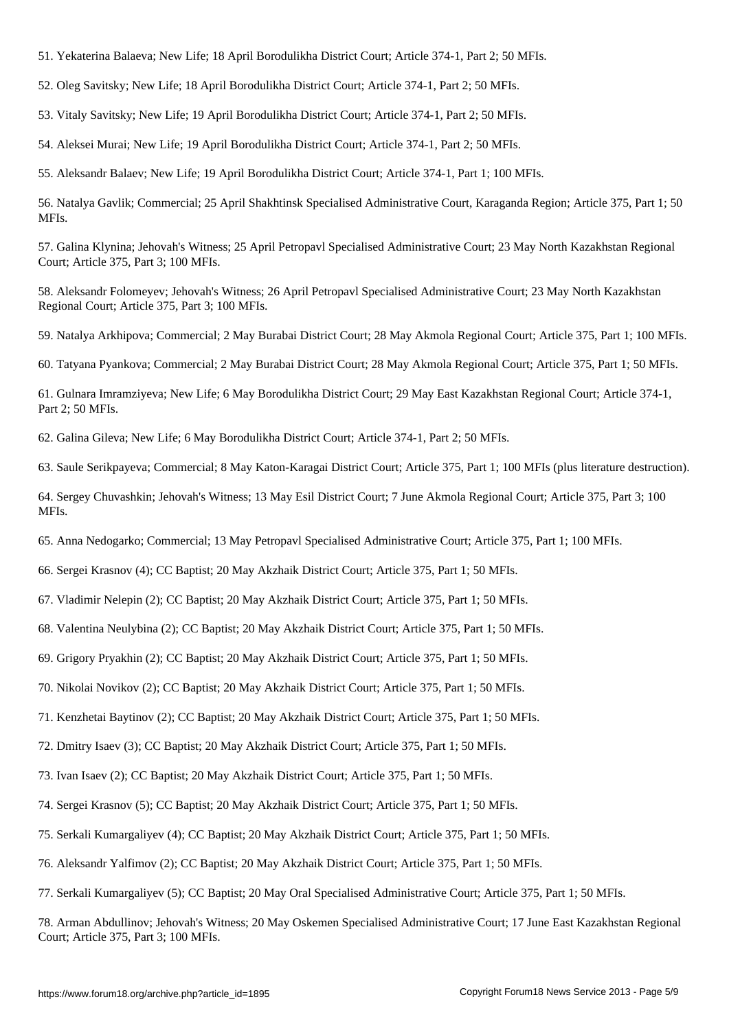52. Oleg Savitsky; New Life; 18 April Borodulikha District Court; Article 374-1, Part 2; 50 MFIs.

The state  $\mathcal{N}$  are all  $\mathcal{N}$  and  $\mathcal{N}$  are  $\mathcal{N}$  are 2;  $\mathcal{N}$  are 374-1,  $\mathcal{N}$  ,  $\mathcal{N}$  and 2;  $\mathcal{N}$ 

53. Vitaly Savitsky; New Life; 19 April Borodulikha District Court; Article 374-1, Part 2; 50 MFIs.

54. Aleksei Murai; New Life; 19 April Borodulikha District Court; Article 374-1, Part 2; 50 MFIs.

55. Aleksandr Balaev; New Life; 19 April Borodulikha District Court; Article 374-1, Part 1; 100 MFIs.

56. Natalya Gavlik; Commercial; 25 April Shakhtinsk Specialised Administrative Court, Karaganda Region; Article 375, Part 1; 50 MFIs.

57. Galina Klynina; Jehovah's Witness; 25 April Petropavl Specialised Administrative Court; 23 May North Kazakhstan Regional Court; Article 375, Part 3; 100 MFIs.

58. Aleksandr Folomeyev; Jehovah's Witness; 26 April Petropavl Specialised Administrative Court; 23 May North Kazakhstan Regional Court; Article 375, Part 3; 100 MFIs.

59. Natalya Arkhipova; Commercial; 2 May Burabai District Court; 28 May Akmola Regional Court; Article 375, Part 1; 100 MFIs.

60. Tatyana Pyankova; Commercial; 2 May Burabai District Court; 28 May Akmola Regional Court; Article 375, Part 1; 50 MFIs.

61. Gulnara Imramziyeva; New Life; 6 May Borodulikha District Court; 29 May East Kazakhstan Regional Court; Article 374-1, Part 2; 50 MFIs.

62. Galina Gileva; New Life; 6 May Borodulikha District Court; Article 374-1, Part 2; 50 MFIs.

63. Saule Serikpayeva; Commercial; 8 May Katon-Karagai District Court; Article 375, Part 1; 100 MFIs (plus literature destruction).

64. Sergey Chuvashkin; Jehovah's Witness; 13 May Esil District Court; 7 June Akmola Regional Court; Article 375, Part 3; 100 MFIs.

65. Anna Nedogarko; Commercial; 13 May Petropavl Specialised Administrative Court; Article 375, Part 1; 100 MFIs.

66. Sergei Krasnov (4); CC Baptist; 20 May Akzhaik District Court; Article 375, Part 1; 50 MFIs.

67. Vladimir Nelepin (2); CC Baptist; 20 May Akzhaik District Court; Article 375, Part 1; 50 MFIs.

68. Valentina Neulybina (2); CC Baptist; 20 May Akzhaik District Court; Article 375, Part 1; 50 MFIs.

69. Grigory Pryakhin (2); CC Baptist; 20 May Akzhaik District Court; Article 375, Part 1; 50 MFIs.

70. Nikolai Novikov (2); CC Baptist; 20 May Akzhaik District Court; Article 375, Part 1; 50 MFIs.

71. Kenzhetai Baytinov (2); CC Baptist; 20 May Akzhaik District Court; Article 375, Part 1; 50 MFIs.

72. Dmitry Isaev (3); CC Baptist; 20 May Akzhaik District Court; Article 375, Part 1; 50 MFIs.

73. Ivan Isaev (2); CC Baptist; 20 May Akzhaik District Court; Article 375, Part 1; 50 MFIs.

74. Sergei Krasnov (5); CC Baptist; 20 May Akzhaik District Court; Article 375, Part 1; 50 MFIs.

75. Serkali Kumargaliyev (4); CC Baptist; 20 May Akzhaik District Court; Article 375, Part 1; 50 MFIs.

76. Aleksandr Yalfimov (2); CC Baptist; 20 May Akzhaik District Court; Article 375, Part 1; 50 MFIs.

77. Serkali Kumargaliyev (5); CC Baptist; 20 May Oral Specialised Administrative Court; Article 375, Part 1; 50 MFIs.

78. Arman Abdullinov; Jehovah's Witness; 20 May Oskemen Specialised Administrative Court; 17 June East Kazakhstan Regional Court; Article 375, Part 3; 100 MFIs.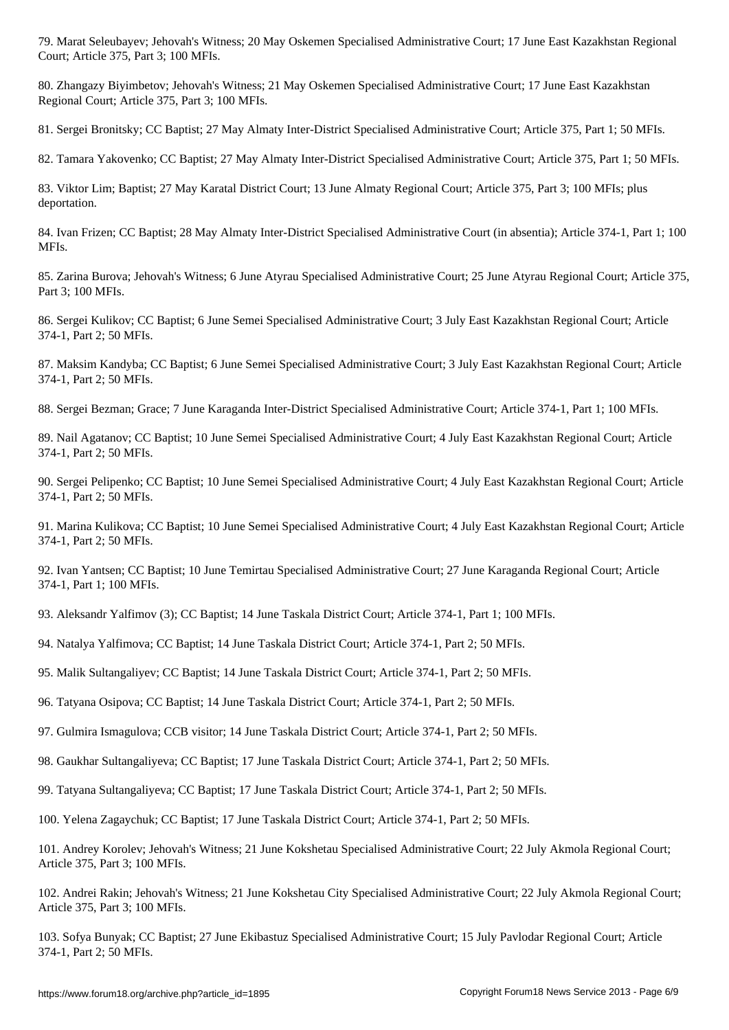80. Zhangazy Biyimbetov; Jehovah's Witness; 21 May Oskemen Specialised Administrative Court; 17 June East Kazakhstan Regional Court; Article 375, Part 3; 100 MFIs.

81. Sergei Bronitsky; CC Baptist; 27 May Almaty Inter-District Specialised Administrative Court; Article 375, Part 1; 50 MFIs.

82. Tamara Yakovenko; CC Baptist; 27 May Almaty Inter-District Specialised Administrative Court; Article 375, Part 1; 50 MFIs.

83. Viktor Lim; Baptist; 27 May Karatal District Court; 13 June Almaty Regional Court; Article 375, Part 3; 100 MFIs; plus deportation.

84. Ivan Frizen; CC Baptist; 28 May Almaty Inter-District Specialised Administrative Court (in absentia); Article 374-1, Part 1; 100 MFIs.

85. Zarina Burova; Jehovah's Witness; 6 June Atyrau Specialised Administrative Court; 25 June Atyrau Regional Court; Article 375, Part 3; 100 MFIs.

86. Sergei Kulikov; CC Baptist; 6 June Semei Specialised Administrative Court; 3 July East Kazakhstan Regional Court; Article 374-1, Part 2; 50 MFIs.

87. Maksim Kandyba; CC Baptist; 6 June Semei Specialised Administrative Court; 3 July East Kazakhstan Regional Court; Article 374-1, Part 2; 50 MFIs.

88. Sergei Bezman; Grace; 7 June Karaganda Inter-District Specialised Administrative Court; Article 374-1, Part 1; 100 MFIs.

89. Nail Agatanov; CC Baptist; 10 June Semei Specialised Administrative Court; 4 July East Kazakhstan Regional Court; Article 374-1, Part 2; 50 MFIs.

90. Sergei Pelipenko; CC Baptist; 10 June Semei Specialised Administrative Court; 4 July East Kazakhstan Regional Court; Article 374-1, Part 2; 50 MFIs.

91. Marina Kulikova; CC Baptist; 10 June Semei Specialised Administrative Court; 4 July East Kazakhstan Regional Court; Article 374-1, Part 2; 50 MFIs.

92. Ivan Yantsen; CC Baptist; 10 June Temirtau Specialised Administrative Court; 27 June Karaganda Regional Court; Article 374-1, Part 1; 100 MFIs.

93. Aleksandr Yalfimov (3); CC Baptist; 14 June Taskala District Court; Article 374-1, Part 1; 100 MFIs.

94. Natalya Yalfimova; CC Baptist; 14 June Taskala District Court; Article 374-1, Part 2; 50 MFIs.

95. Malik Sultangaliyev; CC Baptist; 14 June Taskala District Court; Article 374-1, Part 2; 50 MFIs.

96. Tatyana Osipova; CC Baptist; 14 June Taskala District Court; Article 374-1, Part 2; 50 MFIs.

97. Gulmira Ismagulova; CCB visitor; 14 June Taskala District Court; Article 374-1, Part 2; 50 MFIs.

98. Gaukhar Sultangaliyeva; CC Baptist; 17 June Taskala District Court; Article 374-1, Part 2; 50 MFIs.

99. Tatyana Sultangaliyeva; CC Baptist; 17 June Taskala District Court; Article 374-1, Part 2; 50 MFIs.

100. Yelena Zagaychuk; CC Baptist; 17 June Taskala District Court; Article 374-1, Part 2; 50 MFIs.

101. Andrey Korolev; Jehovah's Witness; 21 June Kokshetau Specialised Administrative Court; 22 July Akmola Regional Court; Article 375, Part 3; 100 MFIs.

102. Andrei Rakin; Jehovah's Witness; 21 June Kokshetau City Specialised Administrative Court; 22 July Akmola Regional Court; Article 375, Part 3; 100 MFIs.

103. Sofya Bunyak; CC Baptist; 27 June Ekibastuz Specialised Administrative Court; 15 July Pavlodar Regional Court; Article 374-1, Part 2; 50 MFIs.

Court; Article 375, Part 3; 100 MFIs.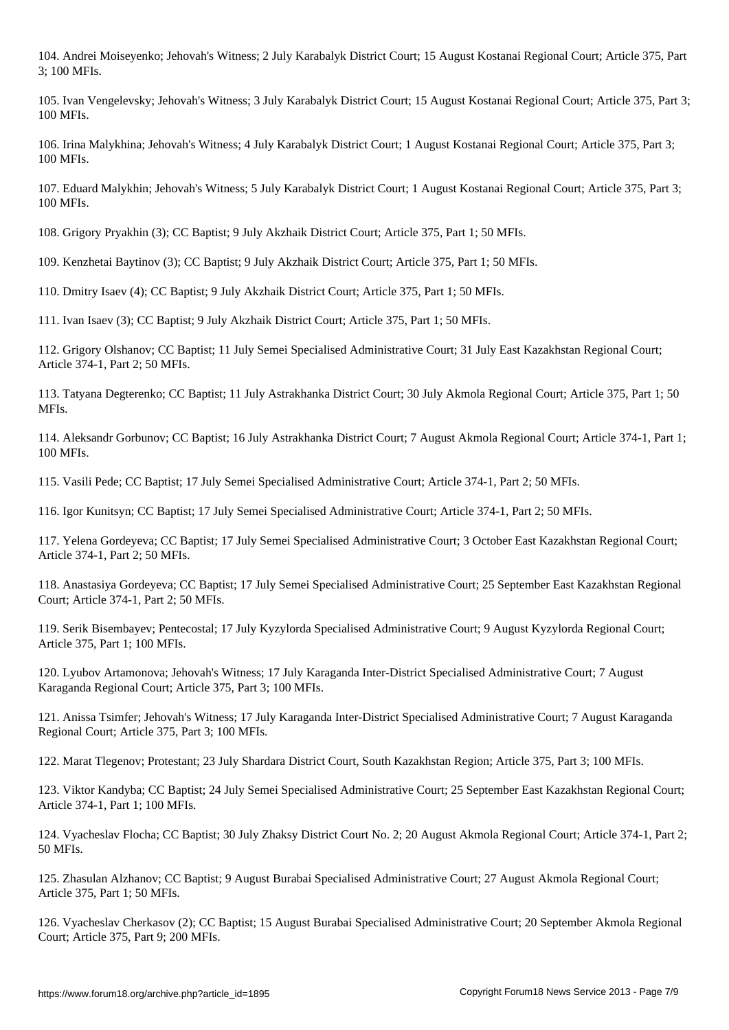104. Andrei Moiseyenko; Jehovah's Witness; 2 July Karabalyk District Court; 15 August Kostanai Regional Court; Article 375, Part 3; 100 MFIs.

105. Ivan Vengelevsky; Jehovah's Witness; 3 July Karabalyk District Court; 15 August Kostanai Regional Court; Article 375, Part 3; 100 MFIs.

106. Irina Malykhina; Jehovah's Witness; 4 July Karabalyk District Court; 1 August Kostanai Regional Court; Article 375, Part 3; 100 MFIs.

107. Eduard Malykhin; Jehovah's Witness; 5 July Karabalyk District Court; 1 August Kostanai Regional Court; Article 375, Part 3; 100 MFIs.

108. Grigory Pryakhin (3); CC Baptist; 9 July Akzhaik District Court; Article 375, Part 1; 50 MFIs.

109. Kenzhetai Baytinov (3); CC Baptist; 9 July Akzhaik District Court; Article 375, Part 1; 50 MFIs.

110. Dmitry Isaev (4); CC Baptist; 9 July Akzhaik District Court; Article 375, Part 1; 50 MFIs.

111. Ivan Isaev (3); CC Baptist; 9 July Akzhaik District Court; Article 375, Part 1; 50 MFIs.

112. Grigory Olshanov; CC Baptist; 11 July Semei Specialised Administrative Court; 31 July East Kazakhstan Regional Court; Article 374-1, Part 2; 50 MFIs.

113. Tatyana Degterenko; CC Baptist; 11 July Astrakhanka District Court; 30 July Akmola Regional Court; Article 375, Part 1; 50 MFIs.

114. Aleksandr Gorbunov; CC Baptist; 16 July Astrakhanka District Court; 7 August Akmola Regional Court; Article 374-1, Part 1; 100 MFIs.

115. Vasili Pede; CC Baptist; 17 July Semei Specialised Administrative Court; Article 374-1, Part 2; 50 MFIs.

116. Igor Kunitsyn; CC Baptist; 17 July Semei Specialised Administrative Court; Article 374-1, Part 2; 50 MFIs.

117. Yelena Gordeyeva; CC Baptist; 17 July Semei Specialised Administrative Court; 3 October East Kazakhstan Regional Court; Article 374-1, Part 2; 50 MFIs.

118. Anastasiya Gordeyeva; CC Baptist; 17 July Semei Specialised Administrative Court; 25 September East Kazakhstan Regional Court; Article 374-1, Part 2; 50 MFIs.

119. Serik Bisembayev; Pentecostal; 17 July Kyzylorda Specialised Administrative Court; 9 August Kyzylorda Regional Court; Article 375, Part 1; 100 MFIs.

120. Lyubov Artamonova; Jehovah's Witness; 17 July Karaganda Inter-District Specialised Administrative Court; 7 August Karaganda Regional Court; Article 375, Part 3; 100 MFIs.

121. Anissa Tsimfer; Jehovah's Witness; 17 July Karaganda Inter-District Specialised Administrative Court; 7 August Karaganda Regional Court; Article 375, Part 3; 100 MFIs.

122. Marat Tlegenov; Protestant; 23 July Shardara District Court, South Kazakhstan Region; Article 375, Part 3; 100 MFIs.

123. Viktor Kandyba; CC Baptist; 24 July Semei Specialised Administrative Court; 25 September East Kazakhstan Regional Court; Article 374-1, Part 1; 100 MFIs.

124. Vyacheslav Flocha; CC Baptist; 30 July Zhaksy District Court No. 2; 20 August Akmola Regional Court; Article 374-1, Part 2; 50 MFIs.

125. Zhasulan Alzhanov; CC Baptist; 9 August Burabai Specialised Administrative Court; 27 August Akmola Regional Court; Article 375, Part 1; 50 MFIs.

126. Vyacheslav Cherkasov (2); CC Baptist; 15 August Burabai Specialised Administrative Court; 20 September Akmola Regional Court; Article 375, Part 9; 200 MFIs.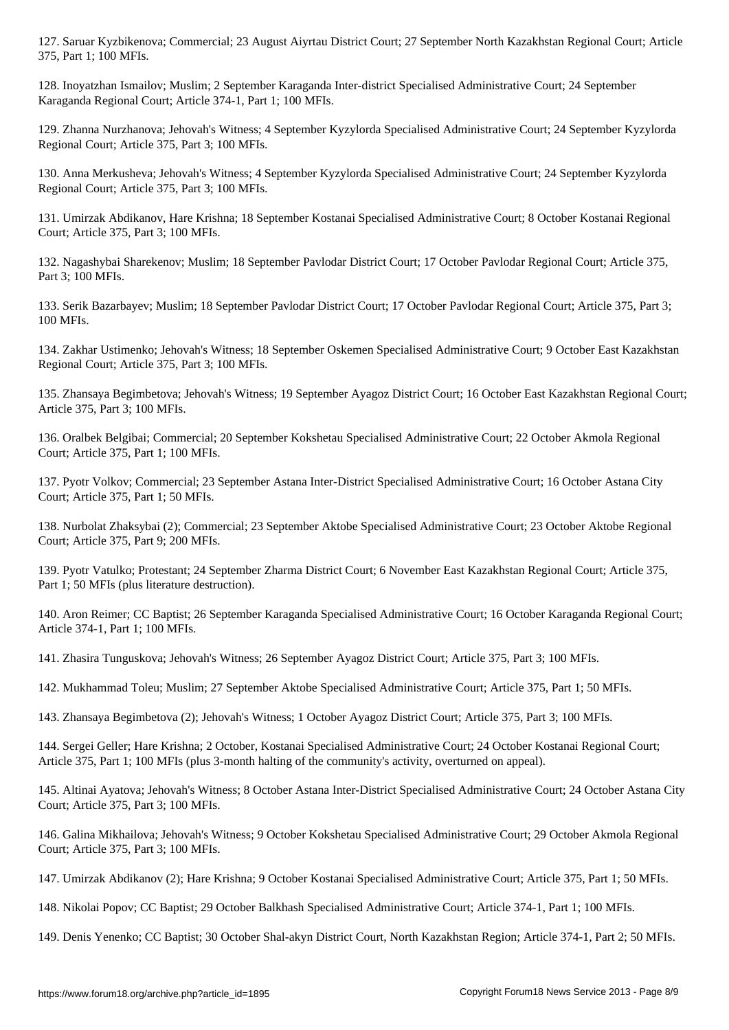128. Inoyatzhan Ismailov; Muslim; 2 September Karaganda Inter-district Specialised Administrative Court; 24 September Karaganda Regional Court; Article 374-1, Part 1; 100 MFIs.

129. Zhanna Nurzhanova; Jehovah's Witness; 4 September Kyzylorda Specialised Administrative Court; 24 September Kyzylorda Regional Court; Article 375, Part 3; 100 MFIs.

130. Anna Merkusheva; Jehovah's Witness; 4 September Kyzylorda Specialised Administrative Court; 24 September Kyzylorda Regional Court; Article 375, Part 3; 100 MFIs.

131. Umirzak Abdikanov, Hare Krishna; 18 September Kostanai Specialised Administrative Court; 8 October Kostanai Regional Court; Article 375, Part 3; 100 MFIs.

132. Nagashybai Sharekenov; Muslim; 18 September Pavlodar District Court; 17 October Pavlodar Regional Court; Article 375, Part 3; 100 MFIs.

133. Serik Bazarbayev; Muslim; 18 September Pavlodar District Court; 17 October Pavlodar Regional Court; Article 375, Part 3; 100 MFIs.

134. Zakhar Ustimenko; Jehovah's Witness; 18 September Oskemen Specialised Administrative Court; 9 October East Kazakhstan Regional Court; Article 375, Part 3; 100 MFIs.

135. Zhansaya Begimbetova; Jehovah's Witness; 19 September Ayagoz District Court; 16 October East Kazakhstan Regional Court; Article 375, Part 3; 100 MFIs.

136. Oralbek Belgibai; Commercial; 20 September Kokshetau Specialised Administrative Court; 22 October Akmola Regional Court; Article 375, Part 1; 100 MFIs.

137. Pyotr Volkov; Commercial; 23 September Astana Inter-District Specialised Administrative Court; 16 October Astana City Court; Article 375, Part 1; 50 MFIs.

138. Nurbolat Zhaksybai (2); Commercial; 23 September Aktobe Specialised Administrative Court; 23 October Aktobe Regional Court; Article 375, Part 9; 200 MFIs.

139. Pyotr Vatulko; Protestant; 24 September Zharma District Court; 6 November East Kazakhstan Regional Court; Article 375, Part 1; 50 MFIs (plus literature destruction).

140. Aron Reimer; CC Baptist; 26 September Karaganda Specialised Administrative Court; 16 October Karaganda Regional Court; Article 374-1, Part 1; 100 MFIs.

141. Zhasira Tunguskova; Jehovah's Witness; 26 September Ayagoz District Court; Article 375, Part 3; 100 MFIs.

142. Mukhammad Toleu; Muslim; 27 September Aktobe Specialised Administrative Court; Article 375, Part 1; 50 MFIs.

143. Zhansaya Begimbetova (2); Jehovah's Witness; 1 October Ayagoz District Court; Article 375, Part 3; 100 MFIs.

144. Sergei Geller; Hare Krishna; 2 October, Kostanai Specialised Administrative Court; 24 October Kostanai Regional Court; Article 375, Part 1; 100 MFIs (plus 3-month halting of the community's activity, overturned on appeal).

145. Altinai Ayatova; Jehovah's Witness; 8 October Astana Inter-District Specialised Administrative Court; 24 October Astana City Court; Article 375, Part 3; 100 MFIs.

146. Galina Mikhailova; Jehovah's Witness; 9 October Kokshetau Specialised Administrative Court; 29 October Akmola Regional Court; Article 375, Part 3; 100 MFIs.

147. Umirzak Abdikanov (2); Hare Krishna; 9 October Kostanai Specialised Administrative Court; Article 375, Part 1; 50 MFIs.

148. Nikolai Popov; CC Baptist; 29 October Balkhash Specialised Administrative Court; Article 374-1, Part 1; 100 MFIs.

149. Denis Yenenko; CC Baptist; 30 October Shal-akyn District Court, North Kazakhstan Region; Article 374-1, Part 2; 50 MFIs.

375, Part 1; 100 MFIs.